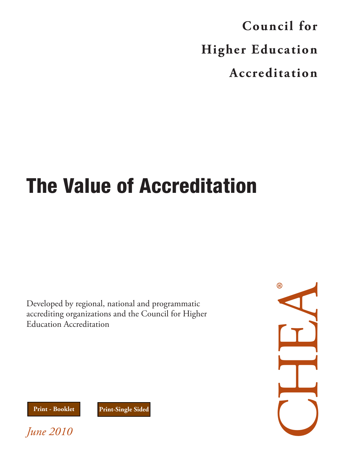**Council for Higher Education Accreditation**

# The Value of Accreditation

Developed by regional, national and programmatic accrediting organizations and the Council for Higher Education Accreditation



**Print - Booklet Print-Single Sided**

*June 2010*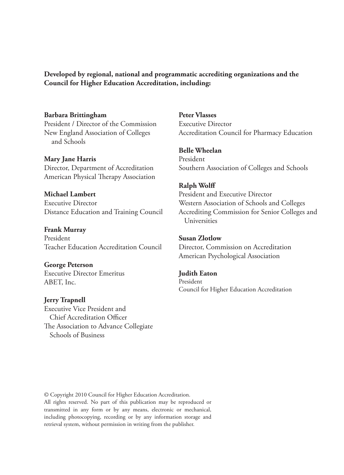**Developed by regional, national and programmatic accrediting organizations and the Council for Higher Education Accreditation, including:**

#### **Barbara Brittingham**

President / Director of the Commission New England Association of Colleges and Schools

#### **Mary Jane Harris**

Director, Department of Accreditation American Physical Therapy Association

#### **Michael Lambert** Executive Director

Distance Education and Training Council

**Frank Murray** President Teacher Education Accreditation Council

#### **George Peterson**

Executive Director Emeritus ABET, Inc.

#### **Jerry Trapnell**

Executive Vice President and Chief Accreditation Officer The Association to Advance Collegiate Schools of Business

**Peter Vlasses** Executive Director Accreditation Council for Pharmacy Education

#### **Belle Wheelan**

President Southern Association of Colleges and Schools

#### **Ralph Wolff**

President and Executive Director Western Association of Schools and Colleges Accrediting Commission for Senior Colleges and Universities

#### **Susan Zlotlow**

Director, Commission on Accreditation American Psychological Association

#### **Judith Eaton**

President Council for Higher Education Accreditation

© Copyright 2010 Council for Higher Education Accreditation. All rights reserved. No part of this publication may be reproduced or transmitted in any form or by any means, electronic or mechanical, including photocopying, recording or by any information storage and retrieval system, without permission in writing from the publisher.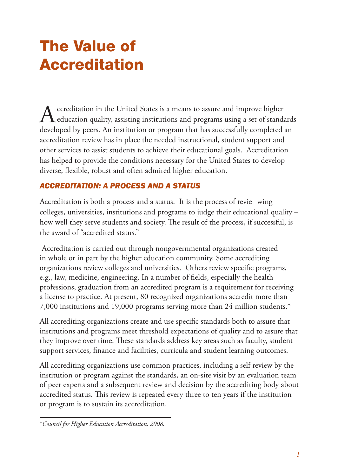## The Value of Accreditation

A ccreditation in the United States is a means to assure and improve higher<br>
education quality, assisting institutions and programs using a set of standard<br>
daughard by neare An institution or necessary that has aussessful education quality, assisting institutions and programs using a set of standards developed by peers. An institution or program that has successfully completed an accreditation review has in place the needed instructional, student support and other services to assist students to achieve their educational goals. Accreditation has helped to provide the conditions necessary for the United States to develop diverse, flexible, robust and often admired higher education.

#### *ACCREDITATION: A PROCESS AND A STATUS*

Accreditation is both a process and a status. It is the process of revie wing colleges, universities, institutions and programs to judge their educational quality – how well they serve students and society. The result of the process, if successful, is the award of "accredited status."

Accreditation is carried out through nongovernmental organizations created in whole or in part by the higher education community. Some accrediting organizations review colleges and universities. Others review specific programs, e.g., law, medicine, engineering. In a number of fields, especially the health professions, graduation from an accredited program is a requirement for receiving a license to practice. At present, 80 recognized organizations accredit more than 7,000 institutions and 19,000 programs serving more than 24 million students.\*

All accrediting organizations create and use specific standards both to assure that institutions and programs meet threshold expectations of quality and to assure that they improve over time. These standards address key areas such as faculty, student support services, finance and facilities, curricula and student learning outcomes.

All accrediting organizations use common practices, including a self review by the institution or program against the standards, an on-site visit by an evaluation team of peer experts and a subsequent review and decision by the accrediting body about accredited status. This review is repeated every three to ten years if the institution or program is to sustain its accreditation.

<sup>\*</sup>*Council for Higher Education Accreditation, 2008.*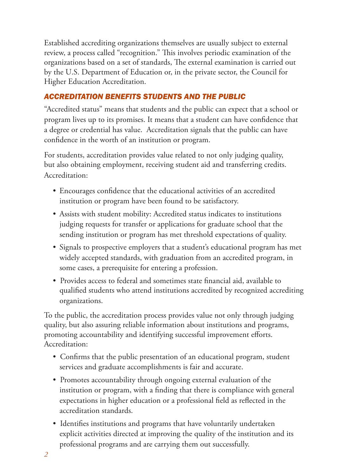Established accrediting organizations themselves are usually subject to external review, a process called "recognition." This involves periodic examination of the organizations based on a set of standards, The external examination is carried out by the U.S. Department of Education or, in the private sector, the Council for Higher Education Accreditation.

## *ACCREDITATION BENEFITS STUDENTS AND THE PUBLIC*

"Accredited status" means that students and the public can expect that a school or program lives up to its promises. It means that a student can have confidence that a degree or credential has value. Accreditation signals that the public can have confidence in the worth of an institution or program.

For students, accreditation provides value related to not only judging quality, but also obtaining employment, receiving student aid and transferring credits. Accreditation:

- Encourages confidence that the educational activities of an accredited institution or program have been found to be satisfactory.
- Assists with student mobility: Accredited status indicates to institutions judging requests for transfer or applications for graduate school that the sending institution or program has met threshold expectations of quality.
- Signals to prospective employers that a student's educational program has met widely accepted standards, with graduation from an accredited program, in some cases, a prerequisite for entering a profession.
- Provides access to federal and sometimes state financial aid, available to qualified students who attend institutions accredited by recognized accrediting organizations.

To the public, the accreditation process provides value not only through judging quality, but also assuring reliable information about institutions and programs, promoting accountability and identifying successful improvement efforts. Accreditation:

- Confirms that the public presentation of an educational program, student services and graduate accomplishments is fair and accurate.
- Promotes accountability through ongoing external evaluation of the institution or program, with a finding that there is compliance with general expectations in higher education or a professional field as reflected in the accreditation standards.
- Identifies institutions and programs that have voluntarily undertaken explicit activities directed at improving the quality of the institution and its professional programs and are carrying them out successfully.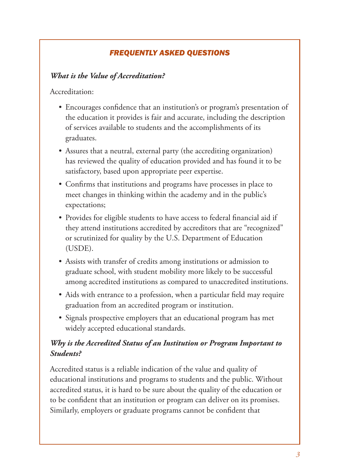## *FREQUENTLY ASKED QUESTIONS*

#### *What is the Value of Accreditation?*

Accreditation:

- Encourages confidence that an institution's or program's presentation of the education it provides is fair and accurate, including the description of services available to students and the accomplishments of its graduates.
- Assures that a neutral, external party (the accrediting organization) has reviewed the quality of education provided and has found it to be satisfactory, based upon appropriate peer expertise.
- Confirms that institutions and programs have processes in place to meet changes in thinking within the academy and in the public's expectations;
- Provides for eligible students to have access to federal financial aid if they attend institutions accredited by accreditors that are "recognized" or scrutinized for quality by the U.S. Department of Education (USDE).
- Assists with transfer of credits among institutions or admission to graduate school, with student mobility more likely to be successful among accredited institutions as compared to unaccredited institutions.
- Aids with entrance to a profession, when a particular field may require graduation from an accredited program or institution.
- Signals prospective employers that an educational program has met widely accepted educational standards.

## *Why is the Accredited Status of an Institution or Program Important to Students?*

Accredited status is a reliable indication of the value and quality of educational institutions and programs to students and the public. Without accredited status, it is hard to be sure about the quality of the education or to be confident that an institution or program can deliver on its promises. Similarly, employers or graduate programs cannot be confident that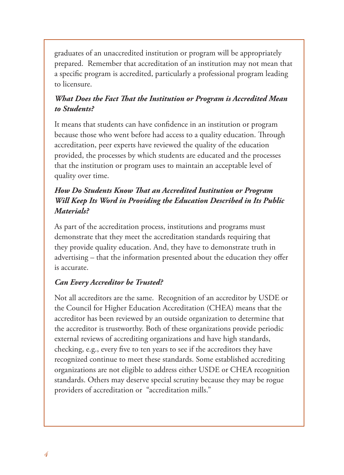graduates of an unaccredited institution or program will be appropriately prepared. Remember that accreditation of an institution may not mean that a specific program is accredited, particularly a professional program leading to licensure.

### *What Does the Fact That the Institution or Program is Accredited Mean to Students?*

It means that students can have confidence in an institution or program because those who went before had access to a quality education. Through accreditation, peer experts have reviewed the quality of the education provided, the processes by which students are educated and the processes that the institution or program uses to maintain an acceptable level of quality over time.

## *How Do Students Know That an Accredited Institution or Program Will Keep Its Word in Providing the Education Described in Its Public Materials?*

As part of the accreditation process, institutions and programs must demonstrate that they meet the accreditation standards requiring that they provide quality education. And, they have to demonstrate truth in advertising – that the information presented about the education they offer is accurate.

## *Can Every Accreditor be Trusted?*

Not all accreditors are the same. Recognition of an accreditor by USDE or the Council for Higher Education Accreditation (CHEA) means that the accreditor has been reviewed by an outside organization to determine that the accreditor is trustworthy. Both of these organizations provide periodic external reviews of accrediting organizations and have high standards, checking, e.g., every five to ten years to see if the accreditors they have recognized continue to meet these standards. Some established accrediting organizations are not eligible to address either USDE or CHEA recognition standards. Others may deserve special scrutiny because they may be rogue providers of accreditation or "accreditation mills."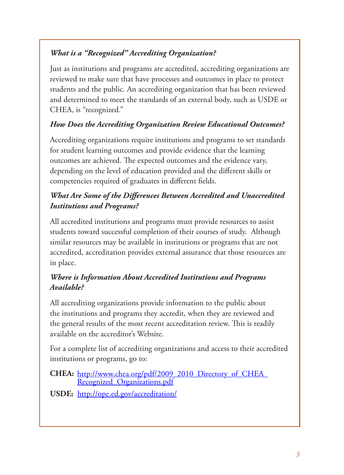## *What is a "Recognized" Accrediting Organization?*

Just as institutions and programs are accredited, accrediting organizations are reviewed to make sure that have processes and outcomes in place to protect students and the public. An accrediting organization that has been reviewed and determined to meet the standards of an external body, such as USDE or CHEA, is "recognized."

## *How Does the Accrediting Organization Review Educational Outcomes?*

Accrediting organizations require institutions and programs to set standards for student learning outcomes and provide evidence that the learning outcomes are achieved. The expected outcomes and the evidence vary, depending on the level of education provided and the different skills or competencies required of graduates in different fields.

#### *What Are Some of the Differences Between Accredited and Unaccredited Institutions and Programs?*

All accredited institutions and programs must provide resources to assist students toward successful completion of their courses of study. Although similar resources may be available in institutions or programs that are not accredited, accreditation provides external assurance that those resources are in place.

## *Where is Information About Accredited Institutions and Programs Available?*

All accrediting organizations provide information to the public about the institutions and programs they accredit, when they are reviewed and the general results of the most recent accreditation review. This is readily available on the accreditor's Website.

For a complete list of accrediting organizations and access to their accredited institutions or programs, go to:

CHEA: http://www.chea.org/pdf/2009\_2010\_Directory\_of\_CHEA [Recognized\\_Organizations.pdf](http://www.chea.org/pdf/2009_2010_Directory_of_CHEA_Recognized_Organizations.pdf)

**USDE:** <http://ope.ed.gov/accreditation/>